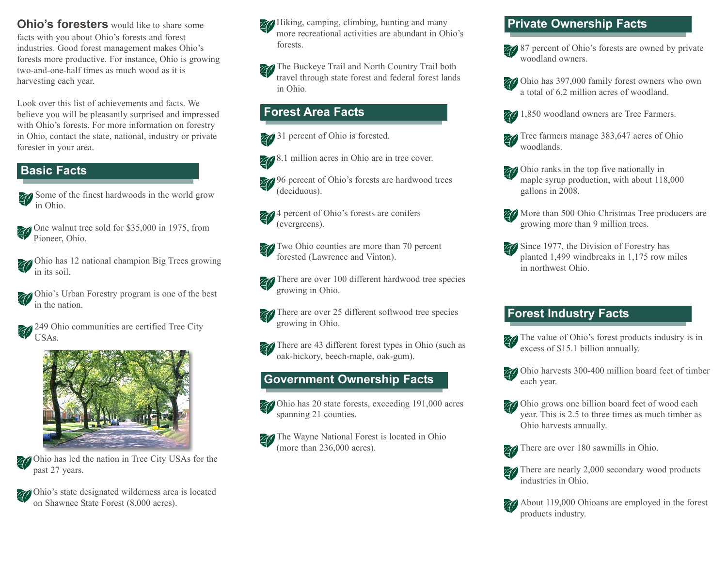**Ohio's foresters** would like to share some facts with you about Ohio's forests and forest industries. Good forest management makes Ohio's forests more productive. For instance, Ohio is growing two-and-one-half times as much wood as it is harvesting each year.

Look over this list of achievements and facts. We believe you will be pleasantly surprised and impressed with Ohio's forests. For more information on forestry in Ohio, contact the state, national, industry or private forester in your area.

### **Basic Facts**

- Some of the finest hardwoods in the world grow in Ohio.
- One walnut tree sold for \$35,000 in 1975, from Pioneer, Ohio.
- Ohio has 12 national champion Big Trees growing in its soil.
- Ohio's Urban Forestry program is one of the best in the nation.
- 249 Ohio communities are certified Tree City USAs.



Ohio has led the nation in Tree City USAs for the past 27 years.

Ohio's state designated wilderness area is located on Shawnee State Forest (8,000 acres).

- Hiking, camping, climbing, hunting and many more recreational activities are abundant in Ohio's forests.
- **The Buckeye Trail and North Country Trail both** travel through state forest and federal forest lands in Ohio.

### **Forest Area Facts**

- **24** 31 percent of Ohio is forested.
- 8.1 million acres in Ohio are in tree cover.
- 96 percent of Ohio's forests are hardwood trees (deciduous).
- 4 percent of Ohio's forests are conifers (evergreens).
- **Two Ohio counties are more than 70 percent** forested (Lawrence and Vinton).
- There are over 100 different hardwood tree species growing in Ohio.
- There are over 25 different softwood tree species growing in Ohio.
- There are 43 different forest types in Ohio (such as oak-hickory, beech-maple, oak-gum).

# **Government Ownership Facts**

Ohio has 20 state forests, exceeding 191,000 acres spanning 21 counties.



The Wayne National Forest is located in Ohio (more than 236,000 acres).

# **Private Ownership Facts**

- 87 percent of Ohio's forests are owned by private woodland owners.
- Ohio has 397,000 family forest owners who own a total of 6.2 million acres of woodland.
- **1,850** woodland owners are Tree Farmers.
- Tree farmers manage 383,647 acres of Ohio woodlands.
- Ohio ranks in the top five nationally in maple syrup production, with about 118,000 gallons in 2008.
- More than 500 Ohio Christmas Tree producers are growing more than 9 million trees.
- **Since 1977, the Division of Forestry has** planted 1,499 windbreaks in 1,175 row miles in northwest Ohio.

# **Forest Industry Facts**

- The value of Ohio's forest products industry is in excess of \$15.1 billion annually.
- Ohio harvests 300-400 million board feet of timber each year.
- *Z* Ohio grows one billion board feet of wood each year. This is 2.5 to three times as much timber as Ohio harvests annually.



There are over 180 sawmills in Ohio.



There are nearly 2,000 secondary wood products industries in Ohio.



About 119,000 Ohioans are employed in the forest products industry.